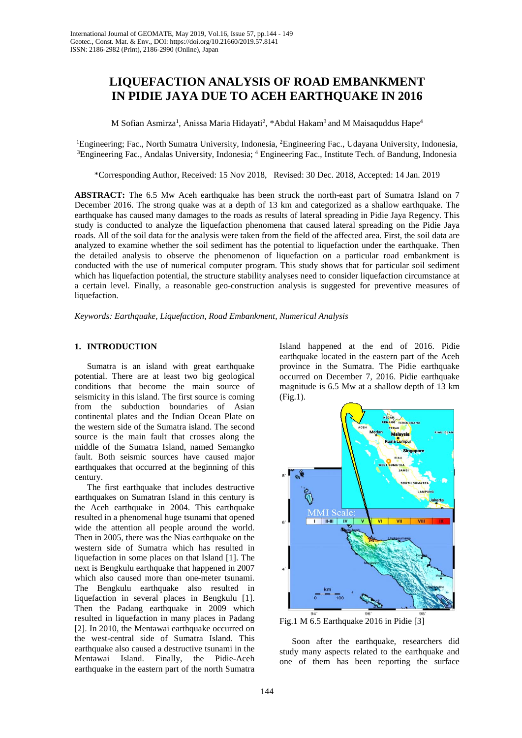# **LIQUEFACTION ANALYSIS OF ROAD EMBANKMENT IN PIDIE JAYA DUE TO ACEH EARTHQUAKE IN 2016**

M Sofian Asmirza $^{\rm l}$ , Anissa Maria Hidayati $^{\rm 2}$ , \*Abdul Hakam $^{\rm 3}$  and M Maisaquddus Hape $^{\rm 4}$ 

<sup>1</sup>Engineering; Fac., North Sumatra University, Indonesia, <sup>2</sup>Engineering Fac., Udayana University, Indonesia, <sup>3</sup>Engineering Fac., Udayana University, Indonesia, <sup>3</sup>Engineering Fac., Andalas University, Indonesia; <sup>4</sup> Engineering Fac., Institute Tech. of Bandung, Indonesia

\*Corresponding Author, Received: 15 Nov 2018, Revised: 30 Dec. 2018, Accepted: 14 Jan. 2019

**ABSTRACT:** The 6.5 Mw Aceh earthquake has been struck the north-east part of Sumatra Island on 7 December 2016. The strong quake was at a depth of 13 km and categorized as a shallow earthquake. The earthquake has caused many damages to the roads as results of lateral spreading in Pidie Jaya Regency. This study is conducted to analyze the liquefaction phenomena that caused lateral spreading on the Pidie Jaya roads. All of the soil data for the analysis were taken from the field of the affected area. First, the soil data are analyzed to examine whether the soil sediment has the potential to liquefaction under the earthquake. Then the detailed analysis to observe the phenomenon of liquefaction on a particular road embankment is conducted with the use of numerical computer program. This study shows that for particular soil sediment which has liquefaction potential, the structure stability analyses need to consider liquefaction circumstance at a certain level. Finally, a reasonable geo-construction analysis is suggested for preventive measures of liquefaction.

*Keywords: Earthquake, Liquefaction, Road Embankment, Numerical Analysis*

## **1. INTRODUCTION**

Sumatra is an island with great earthquake potential. There are at least two big geological conditions that become the main source of seismicity in this island. The first source is coming from the subduction boundaries of Asian continental plates and the Indian Ocean Plate on the western side of the Sumatra island. The second source is the main fault that crosses along the middle of the Sumatra Island, named Semangko fault. Both seismic sources have caused major earthquakes that occurred at the beginning of this century.

The first earthquake that includes destructive earthquakes on Sumatran Island in this century is the Aceh earthquake in 2004. This earthquake resulted in a phenomenal huge tsunami that opened wide the attention all people around the world. Then in 2005, there was the Nias earthquake on the western side of Sumatra which has resulted in liquefaction in some places on that Island [1]. The next is Bengkulu earthquake that happened in 2007 which also caused more than one-meter tsunami. The Bengkulu earthquake also resulted in liquefaction in several places in Bengkulu [1]. Then the Padang earthquake in 2009 which resulted in liquefaction in many places in Padang [2]. In 2010, the Mentawai earthquake occurred on the west-central side of Sumatra Island. This earthquake also caused a destructive tsunami in the Mentawai Island. Finally, the Pidie-Aceh earthquake in the eastern part of the north Sumatra

Island happened at the end of 2016. Pidie earthquake located in the eastern part of the Aceh province in the Sumatra. The Pidie earthquake occurred on December 7, 2016. Pidie earthquake magnitude is 6.5 Mw at a shallow depth of 13 km (Fig.1).



Fig.1 M 6.5 Earthquake 2016 in Pidie [3]

Soon after the earthquake, researchers did study many aspects related to the earthquake and one of them has been reporting the surface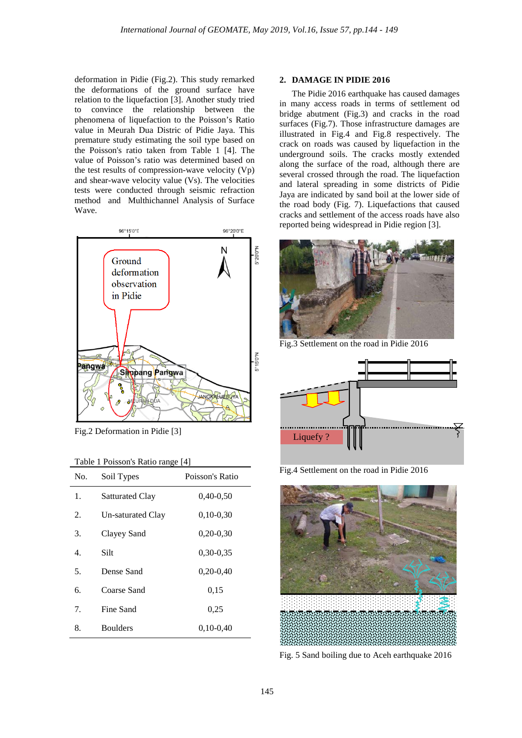deformation in Pidie (Fig.2). This study remarked the deformations of the ground surface have relation to the liquefaction [3]. Another study tried to convince the relationship between the phenomena of liquefaction to the Poisson's Ratio value in Meurah Dua Distric of Pidie Jaya. This premature study estimating the soil type based on the Poisson's ratio taken from Table 1 [4]. The value of Poisson's ratio was determined based on the test results of compression-wave velocity (Vp) and shear-wave velocity value (Vs). The velocities tests were conducted through seismic refraction method and Multhichannel Analysis of Surface Wave.



Fig.2 Deformation in Pidie [3]

| Table 1 Poisson's Ratio range [4] |  |
|-----------------------------------|--|
|-----------------------------------|--|

| No. | Soil Types             | Poisson's Ratio |
|-----|------------------------|-----------------|
| 1.  | <b>Satturated Clay</b> | $0,40-0,50$     |
| 2.  | Un-saturated Clay      | $0,10-0,30$     |
| 3.  | Clayey Sand            | $0,20-0,30$     |
| 4.  | Silt                   | $0,30-0,35$     |
| 5.  | Dense Sand             | $0,20-0,40$     |
| 6.  | Coarse Sand            | 0,15            |
| 7.  | Fine Sand              | 0,25            |
| 8.  | <b>Boulders</b>        | $0,10-0,40$     |

### **2. DAMAGE IN PIDIE 2016**

The Pidie 2016 earthquake has caused damages in many access roads in terms of settlement od bridge abutment (Fig.3) and cracks in the road surfaces (Fig.7). Those infrastructure damages are illustrated in Fig.4 and Fig.8 respectively. The crack on roads was caused by liquefaction in the underground soils. The cracks mostly extended along the surface of the road, although there are several crossed through the road. The liquefaction and lateral spreading in some districts of Pidie Jaya are indicated by sand boil at the lower side of the road body (Fig. 7). Liquefactions that caused cracks and settlement of the access roads have also reported being widespread in Pidie region [3].



Fig.3 Settlement on the road in Pidie 2016



Fig.4 Settlement on the road in Pidie 2016



Fig. 5 Sand boiling due to Aceh earthquake 2016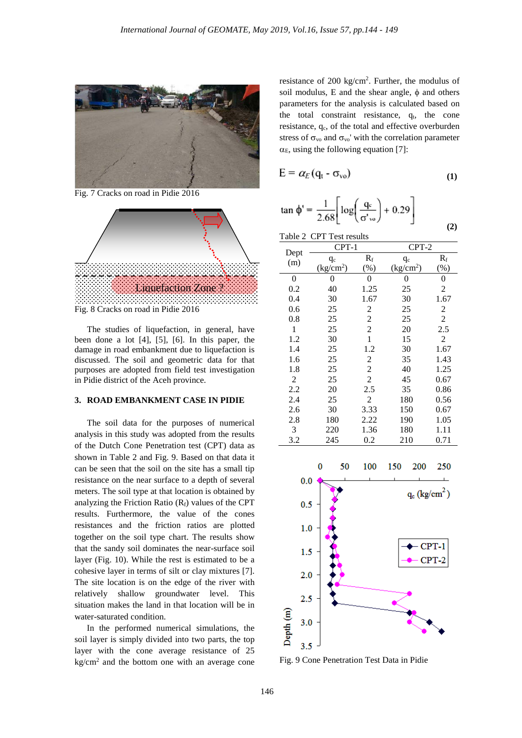

Fig. 7 Cracks on road in Pidie 2016



The studies of liquefaction, in general, have been done a lot [4], [5], [6]. In this paper, the damage in road embankment due to liquefaction is discussed. The soil and geometric data for that purposes are adopted from field test investigation in Pidie district of the Aceh province.

### **3. ROAD EMBANKMENT CASE IN PIDIE**

The soil data for the purposes of numerical analysis in this study was adopted from the results of the Dutch Cone Penetration test (CPT) data as shown in Table 2 and Fig. 9. Based on that data it can be seen that the soil on the site has a small tip resistance on the near surface to a depth of several meters. The soil type at that location is obtained by analyzing the Friction Ratio  $(R_f)$  values of the CPT results. Furthermore, the value of the cones resistances and the friction ratios are plotted together on the soil type chart. The results show that the sandy soil dominates the near-surface soil layer (Fig. 10). While the rest is estimated to be a cohesive layer in terms of silt or clay mixtures [7]. The site location is on the edge of the river with relatively shallow groundwater level. This situation makes the land in that location will be in water-saturated condition.

In the performed numerical simulations, the soil layer is simply divided into two parts, the top layer with the cone average resistance of 25  $kg/cm<sup>2</sup>$  and the bottom one with an average cone resistance of  $200 \text{ kg/cm}^2$ . Further, the modulus of soil modulus, E and the shear angle,  $\phi$  and others parameters for the analysis is calculated based on the total constraint resistance,  $q_t$ , the cone resistance,  $q_c$ , of the total and effective overburden stress of  $\sigma_{\rm vo}$  and  $\sigma_{\rm vo}$ ' with the correlation parameter  $\alpha_E$ , using the following equation [7]:

$$
E = \alpha_E (q_t - \sigma_{vo})
$$
 (1)

$$
\tan \phi' = \frac{1}{2.68} \left[ \log \left( \frac{q_c}{\sigma'_{\text{vo}}} \right) + 0.29 \right]
$$

**(2)**

| Table 2 CPT Test results |                                 |       |                                 |                |  |  |
|--------------------------|---------------------------------|-------|---------------------------------|----------------|--|--|
|                          | CPT-1                           |       |                                 | $CPT-2$        |  |  |
| Dept                     | $q_c$                           | $R_f$ | $q_c$                           | $R_{\rm f}$    |  |  |
| (m)                      | $\frac{\text{kg}}{\text{cm}^2}$ | (%)   | $\frac{\text{kg}}{\text{cm}^2}$ | $(\%)$         |  |  |
| 0                        | 0                               | 0     | 0                               | 0              |  |  |
| 0.2                      | 40                              | 1.25  | 25                              | 2              |  |  |
| 0.4                      | 30                              | 1.67  | 30                              | 1.67           |  |  |
| 0.6                      | 25                              | 2     | 25                              | 2              |  |  |
| $0.8\,$                  | 25                              | 2     | 25                              | $\overline{2}$ |  |  |
| 1                        | 25                              | 2     | 20                              | 2.5            |  |  |
| 1.2                      | 30                              | 1     | 15                              | 2              |  |  |
| 1.4                      | 25                              | 1.2   | 30                              | 1.67           |  |  |
| 1.6                      | 25                              | 2     | 35                              | 1.43           |  |  |
| 1.8                      | 25                              | 2     | 40                              | 1.25           |  |  |
| 2                        | 25                              | 2     | 45                              | 0.67           |  |  |
| 2.2                      | 20                              | 2.5   | 35                              | 0.86           |  |  |
| 2.4                      | 25                              | 2     | 180                             | 0.56           |  |  |
| 2.6                      | 30                              | 3.33  | 150                             | 0.67           |  |  |
| 2.8                      | 180                             | 2.22  | 190                             | 1.05           |  |  |
| 3                        | 220                             | 1.36  | 180                             | 1.11           |  |  |
| 3.2                      | 245                             | 0.2   | 210                             | 0.71           |  |  |



Fig. 9 Cone Penetration Test Data in Pidie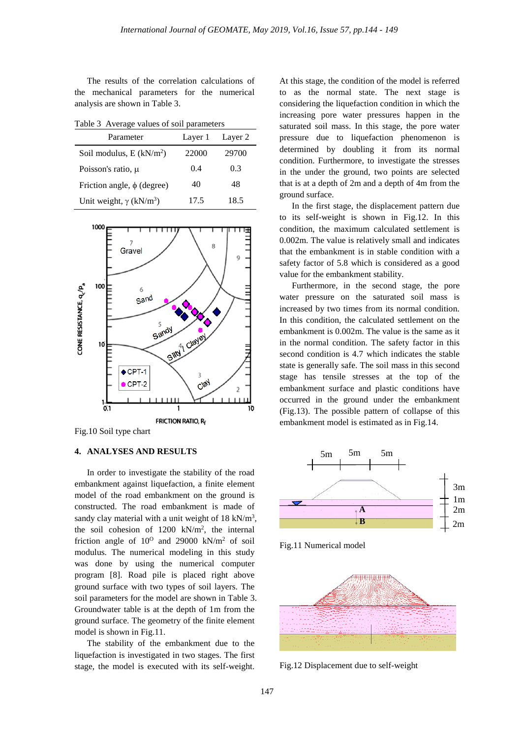The results of the correlation calculations of the mechanical parameters for the numerical analysis are shown in Table 3.

Table 3 Average values of soil parameters

| Parameter                                  | Layer 1 | Layer 2 |
|--------------------------------------------|---------|---------|
| Soil modulus, $E(kN/m^2)$                  | 22000   | 29700   |
| Poisson's ratio, $\mu$                     | 0.4     | 0.3     |
| Friction angle, $\phi$ (degree)            | 40      | 48      |
| Unit weight, $\gamma$ (kN/m <sup>3</sup> ) | 17.5    | 18.5    |



Fig.10 Soil type chart

## **4. ANALYSES AND RESULTS**

In order to investigate the stability of the road embankment against liquefaction, a finite element model of the road embankment on the ground is constructed. The road embankment is made of sandy clay material with a unit weight of  $18 \text{ kN/m}^3$ , the soil cohesion of  $1200 \text{ kN/m}^2$ , the internal friction angle of  $10^0$  and 29000 kN/m<sup>2</sup> of soil modulus. The numerical modeling in this study was done by using the numerical computer program [8]. Road pile is placed right above ground surface with two types of soil layers. The soil parameters for the model are shown in Table 3. Groundwater table is at the depth of 1m from the ground surface. The geometry of the finite element model is shown in Fig.11.

The stability of the embankment due to the liquefaction is investigated in two stages. The first stage, the model is executed with its self-weight. At this stage, the condition of the model is referred to as the normal state. The next stage is considering the liquefaction condition in which the increasing pore water pressures happen in the saturated soil mass. In this stage, the pore water pressure due to liquefaction phenomenon is determined by doubling it from its normal condition. Furthermore, to investigate the stresses in the under the ground, two points are selected that is at a depth of 2m and a depth of 4m from the ground surface.

In the first stage, the displacement pattern due to its self-weight is shown in Fig.12. In this condition, the maximum calculated settlement is 0.002m. The value is relatively small and indicates that the embankment is in stable condition with a safety factor of 5.8 which is considered as a good value for the embankment stability.

Furthermore, in the second stage, the pore water pressure on the saturated soil mass is increased by two times from its normal condition. In this condition, the calculated settlement on the embankment is 0.002m. The value is the same as it in the normal condition. The safety factor in this second condition is 4.7 which indicates the stable state is generally safe. The soil mass in this second stage has tensile stresses at the top of the embankment surface and plastic conditions have occurred in the ground under the embankment (Fig.13). The possible pattern of collapse of this embankment model is estimated as in Fig.14.



Fig.11 Numerical model



Fig.12 Displacement due to self-weight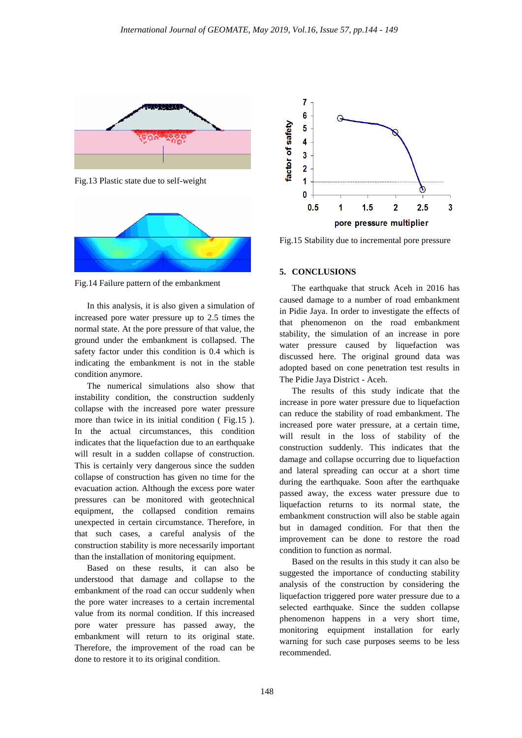

Fig.13 Plastic state due to self-weight



Fig.14 Failure pattern of the embankment

In this analysis, it is also given a simulation of increased pore water pressure up to 2.5 times the normal state. At the pore pressure of that value, the ground under the embankment is collapsed. The safety factor under this condition is 0.4 which is indicating the embankment is not in the stable condition anymore.

The numerical simulations also show that instability condition, the construction suddenly collapse with the increased pore water pressure more than twice in its initial condition (Fig.15). In the actual circumstances, this condition indicates that the liquefaction due to an earthquake will result in a sudden collapse of construction. This is certainly very dangerous since the sudden collapse of construction has given no time for the evacuation action. Although the excess pore water pressures can be monitored with geotechnical equipment, the collapsed condition remains unexpected in certain circumstance. Therefore, in that such cases, a careful analysis of the construction stability is more necessarily important than the installation of monitoring equipment.

Based on these results, it can also be understood that damage and collapse to the embankment of the road can occur suddenly when the pore water increases to a certain incremental value from its normal condition. If this increased pore water pressure has passed away, the embankment will return to its original state. Therefore, the improvement of the road can be done to restore it to its original condition.



Fig.15 Stability due to incremental pore pressure

## **5. CONCLUSIONS**

The earthquake that struck Aceh in 2016 has caused damage to a number of road embankment in Pidie Jaya. In order to investigate the effects of that phenomenon on the road embankment stability, the simulation of an increase in pore water pressure caused by liquefaction was discussed here. The original ground data was adopted based on cone penetration test results in The Pidie Jaya District - Aceh.

The results of this study indicate that the increase in pore water pressure due to liquefaction can reduce the stability of road embankment. The increased pore water pressure, at a certain time, will result in the loss of stability of the construction suddenly. This indicates that the damage and collapse occurring due to liquefaction and lateral spreading can occur at a short time during the earthquake. Soon after the earthquake passed away, the excess water pressure due to liquefaction returns to its normal state, the embankment construction will also be stable again but in damaged condition. For that then the improvement can be done to restore the road condition to function as normal.

Based on the results in this study it can also be suggested the importance of conducting stability analysis of the construction by considering the liquefaction triggered pore water pressure due to a selected earthquake. Since the sudden collapse phenomenon happens in a very short time, monitoring equipment installation for early warning for such case purposes seems to be less recommended.